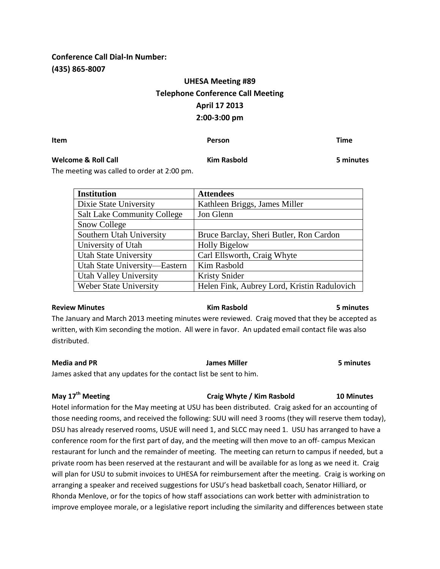## **Conference Call Dial-In Number: (435) 865-8007**

# **UHESA Meeting #89 Telephone Conference Call Meeting April 17 2013 2:00-3:00 pm**

**Item Person Time**

### **Welcome & Roll Call Kim Rasbold 5 minutes**

The meeting was called to order at 2:00 pm.

| <b>Institution</b>                 | <b>Attendees</b>                            |
|------------------------------------|---------------------------------------------|
| Dixie State University             | Kathleen Briggs, James Miller               |
| <b>Salt Lake Community College</b> | Jon Glenn                                   |
| Snow College                       |                                             |
| Southern Utah University           | Bruce Barclay, Sheri Butler, Ron Cardon     |
| University of Utah                 | <b>Holly Bigelow</b>                        |
| <b>Utah State University</b>       | Carl Ellsworth, Craig Whyte                 |
| Utah State University-Eastern      | Kim Rasbold                                 |
| Utah Valley University             | <b>Kristy Snider</b>                        |
| <b>Weber State University</b>      | Helen Fink, Aubrey Lord, Kristin Radulovich |

#### **Review Minutes Kim Rasbold 5 minutes**

The January and March 2013 meeting minutes were reviewed. Craig moved that they be accepted as written, with Kim seconding the motion. All were in favor. An updated email contact file was also distributed.

## **Media and PR James Miller 5 minutes**

James asked that any updates for the contact list be sent to him.

## **May 17th Meeting Craig Whyte / Kim Rasbold 10 Minutes**

Hotel information for the May meeting at USU has been distributed. Craig asked for an accounting of those needing rooms, and received the following: SUU will need 3 rooms (they will reserve them today), DSU has already reserved rooms, USUE will need 1, and SLCC may need 1. USU has arranged to have a conference room for the first part of day, and the meeting will then move to an off- campus Mexican restaurant for lunch and the remainder of meeting. The meeting can return to campus if needed, but a private room has been reserved at the restaurant and will be available for as long as we need it. Craig will plan for USU to submit invoices to UHESA for reimbursement after the meeting. Craig is working on arranging a speaker and received suggestions for USU's head basketball coach, Senator Hilliard, or Rhonda Menlove, or for the topics of how staff associations can work better with administration to improve employee morale, or a legislative report including the similarity and differences between state